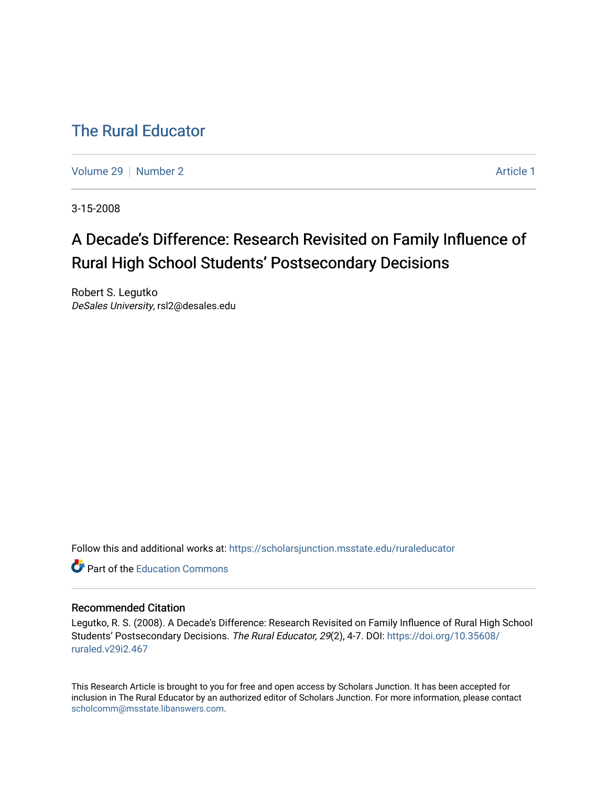## [The Rural Educator](https://scholarsjunction.msstate.edu/ruraleducator)

[Volume 29](https://scholarsjunction.msstate.edu/ruraleducator/vol29) [Number 2](https://scholarsjunction.msstate.edu/ruraleducator/vol29/iss2) Article 1

3-15-2008

# A Decade's Difference: Research Revisited on Family Influence of Rural High School Students' Postsecondary Decisions

Robert S. Legutko DeSales University, rsl2@desales.edu

Follow this and additional works at: [https://scholarsjunction.msstate.edu/ruraleducator](https://scholarsjunction.msstate.edu/ruraleducator?utm_source=scholarsjunction.msstate.edu%2Fruraleducator%2Fvol29%2Fiss2%2F1&utm_medium=PDF&utm_campaign=PDFCoverPages)

**C** Part of the [Education Commons](http://network.bepress.com/hgg/discipline/784?utm_source=scholarsjunction.msstate.edu%2Fruraleducator%2Fvol29%2Fiss2%2F1&utm_medium=PDF&utm_campaign=PDFCoverPages)

## Recommended Citation

Legutko, R. S. (2008). A Decade's Difference: Research Revisited on Family Influence of Rural High School Students' Postsecondary Decisions. The Rural Educator, 29(2), 4-7. DOI: [https://doi.org/10.35608/](https://doi.org/10.35608/ruraled.v29i2.467) [ruraled.v29i2.467](https://doi.org/10.35608/ruraled.v29i2.467)

This Research Article is brought to you for free and open access by Scholars Junction. It has been accepted for inclusion in The Rural Educator by an authorized editor of Scholars Junction. For more information, please contact [scholcomm@msstate.libanswers.com.](mailto:scholcomm@msstate.libanswers.com)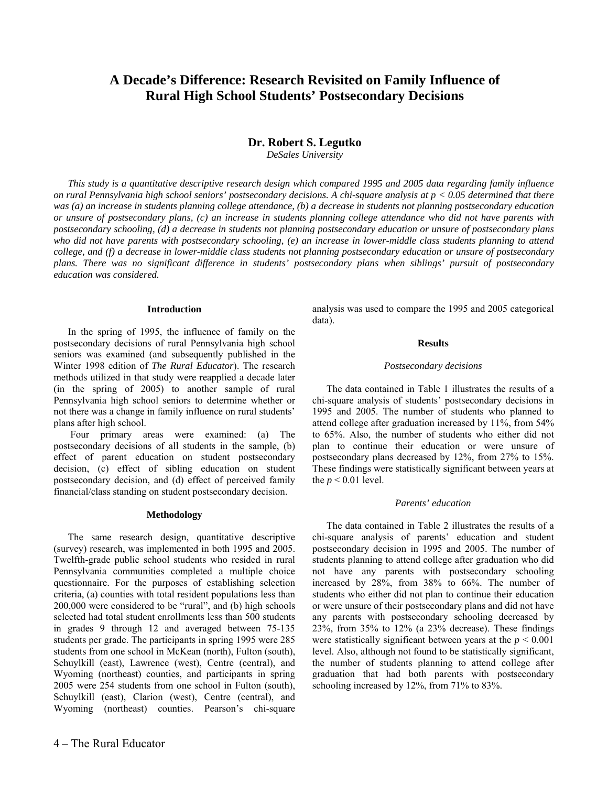## **A Decade's Difference: Research Revisited on Family Influence of Rural High School Students' Postsecondary Decisions**

## **Dr. Robert S. Legutko**

*DeSales University* 

*This study is a quantitative descriptive research design which compared 1995 and 2005 data regarding family influence on rural Pennsylvania high school seniors' postsecondary decisions. A chi-square analysis at p < 0.05 determined that there was (a) an increase in students planning college attendance, (b) a decrease in students not planning postsecondary education or unsure of postsecondary plans, (c) an increase in students planning college attendance who did not have parents with postsecondary schooling, (d) a decrease in students not planning postsecondary education or unsure of postsecondary plans who did not have parents with postsecondary schooling, (e) an increase in lower-middle class students planning to attend college, and (f) a decrease in lower-middle class students not planning postsecondary education or unsure of postsecondary plans. There was no significant difference in students' postsecondary plans when siblings' pursuit of postsecondary education was considered.* 

## **Introduction**

In the spring of 1995, the influence of family on the postsecondary decisions of rural Pennsylvania high school seniors was examined (and subsequently published in the Winter 1998 edition of *The Rural Educator*). The research methods utilized in that study were reapplied a decade later (in the spring of 2005) to another sample of rural Pennsylvania high school seniors to determine whether or not there was a change in family influence on rural students' plans after high school.

 Four primary areas were examined: (a) The postsecondary decisions of all students in the sample, (b) effect of parent education on student postsecondary decision, (c) effect of sibling education on student postsecondary decision, and (d) effect of perceived family financial/class standing on student postsecondary decision.

#### **Methodology**

The same research design, quantitative descriptive (survey) research, was implemented in both 1995 and 2005. Twelfth-grade public school students who resided in rural Pennsylvania communities completed a multiple choice questionnaire. For the purposes of establishing selection criteria, (a) counties with total resident populations less than 200,000 were considered to be "rural", and (b) high schools selected had total student enrollments less than 500 students in grades 9 through 12 and averaged between 75-135 students per grade. The participants in spring 1995 were 285 students from one school in McKean (north), Fulton (south), Schuylkill (east), Lawrence (west), Centre (central), and Wyoming (northeast) counties, and participants in spring 2005 were 254 students from one school in Fulton (south), Schuylkill (east), Clarion (west), Centre (central), and Wyoming (northeast) counties. Pearson's chi-square analysis was used to compare the 1995 and 2005 categorical data).

## **Results**

#### *Postsecondary decisions*

The data contained in Table 1 illustrates the results of a chi-square analysis of students' postsecondary decisions in 1995 and 2005. The number of students who planned to attend college after graduation increased by 11%, from 54% to 65%. Also, the number of students who either did not plan to continue their education or were unsure of postsecondary plans decreased by 12%, from 27% to 15%. These findings were statistically significant between years at the  $p < 0.01$  level.

#### *Parents' education*

The data contained in Table 2 illustrates the results of a chi-square analysis of parents' education and student postsecondary decision in 1995 and 2005. The number of students planning to attend college after graduation who did not have any parents with postsecondary schooling increased by 28%, from 38% to 66%. The number of students who either did not plan to continue their education or were unsure of their postsecondary plans and did not have any parents with postsecondary schooling decreased by 23%, from 35% to 12% (a 23% decrease). These findings were statistically significant between years at the  $p \le 0.001$ level. Also, although not found to be statistically significant, the number of students planning to attend college after graduation that had both parents with postsecondary schooling increased by 12%, from 71% to 83%.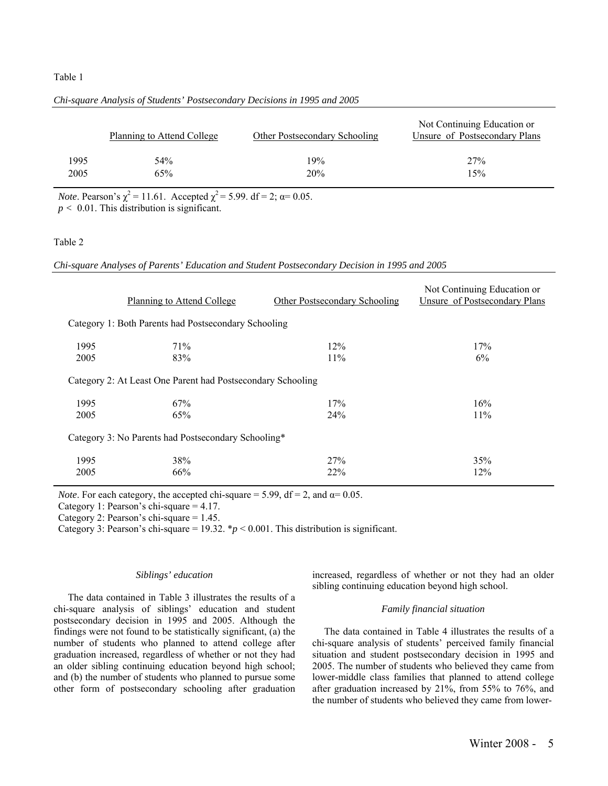## Table 1

|      | Planning to Attend College | <b>Other Postsecondary Schooling</b> | Not Continuing Education or<br>Unsure of Postsecondary Plans |
|------|----------------------------|--------------------------------------|--------------------------------------------------------------|
| 1995 | 54%                        | 19%                                  | 27%                                                          |
| 2005 | 65%                        | 20%                                  | 15%                                                          |

#### *Chi-square Analysis of Students' Postsecondary Decisions in 1995 and 2005*

*Note*. Pearson's  $\chi^2 = 11.61$ . Accepted  $\chi^2 = 5.99$ . df = 2;  $\alpha = 0.05$ .  $p < 0.01$ . This distribution is significant.

### Table 2

*Chi-square Analyses of Parents' Education and Student Postsecondary Decision in 1995 and 2005* 

|                                                             | Planning to Attend College | Other Postsecondary Schooling | Not Continuing Education or<br>Unsure of Postsecondary Plans |  |  |  |
|-------------------------------------------------------------|----------------------------|-------------------------------|--------------------------------------------------------------|--|--|--|
| Category 1: Both Parents had Postsecondary Schooling        |                            |                               |                                                              |  |  |  |
| 1995<br>2005                                                | 71%<br>83%                 | 12%<br>11%                    | 17%<br>6%                                                    |  |  |  |
| Category 2: At Least One Parent had Postsecondary Schooling |                            |                               |                                                              |  |  |  |
| 1995<br>2005                                                | 67%<br>65%                 | 17%<br>24%                    | 16%<br>11%                                                   |  |  |  |
| Category 3: No Parents had Postsecondary Schooling*         |                            |                               |                                                              |  |  |  |
| 1995<br>2005                                                | 38%<br>66%                 | 27%<br>22%                    | 35%<br>12%                                                   |  |  |  |

*Note*. For each category, the accepted chi-square = 5.99, df = 2, and  $\alpha$ = 0.05.

Category 1: Pearson's chi-square = 4.17.

Category 2: Pearson's chi-square = 1.45.

Category 3: Pearson's chi-square =  $19.32$ .  $\mathbf{\textdegree{p}}$  < 0.001. This distribution is significant.

#### *Siblings' education*

The data contained in Table 3 illustrates the results of a chi-square analysis of siblings' education and student postsecondary decision in 1995 and 2005. Although the findings were not found to be statistically significant, (a) the number of students who planned to attend college after graduation increased, regardless of whether or not they had an older sibling continuing education beyond high school; and (b) the number of students who planned to pursue some other form of postsecondary schooling after graduation increased, regardless of whether or not they had an older sibling continuing education beyond high school.

## *Family financial situation*

The data contained in Table 4 illustrates the results of a chi-square analysis of students' perceived family financial situation and student postsecondary decision in 1995 and 2005. The number of students who believed they came from lower-middle class families that planned to attend college after graduation increased by 21%, from 55% to 76%, and the number of students who believed they came from lower-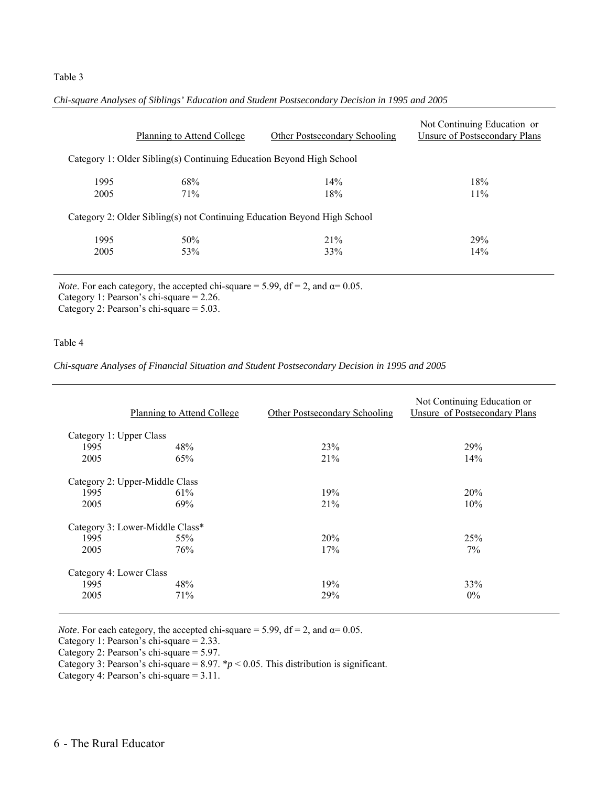## Table 3

|                                                                          | <b>Planning to Attend College</b> | Other Postsecondary Schooling | Not Continuing Education or<br>Unsure of Postsecondary Plans |  |  |  |
|--------------------------------------------------------------------------|-----------------------------------|-------------------------------|--------------------------------------------------------------|--|--|--|
| Category 1: Older Sibling(s) Continuing Education Beyond High School     |                                   |                               |                                                              |  |  |  |
| 1995                                                                     | 68%                               | 14%                           | 18%                                                          |  |  |  |
| 2005                                                                     | 71%                               | 18%                           | 11%                                                          |  |  |  |
| Category 2: Older Sibling(s) not Continuing Education Beyond High School |                                   |                               |                                                              |  |  |  |
| 1995                                                                     | 50%                               | 21%                           | 29%                                                          |  |  |  |
| 2005                                                                     | 53%                               | 33%                           | 14%                                                          |  |  |  |

*Chi-square Analyses of Siblings' Education and Student Postsecondary Decision in 1995 and 2005* 

*Note*. For each category, the accepted chi-square = 5.99,  $df = 2$ , and  $\alpha = 0.05$ . Category 1: Pearson's chi-square = 2.26.

Category 2: Pearson's chi-square = 5.03.

## Table 4

*Chi-square Analyses of Financial Situation and Student Postsecondary Decision in 1995 and 2005* 

|                                 | <b>Planning to Attend College</b> | <b>Other Postsecondary Schooling</b> | Not Continuing Education or<br>Unsure of Postsecondary Plans |  |  |  |
|---------------------------------|-----------------------------------|--------------------------------------|--------------------------------------------------------------|--|--|--|
| Category 1: Upper Class         |                                   |                                      |                                                              |  |  |  |
| 1995                            | 48%                               | 23%                                  | 29%                                                          |  |  |  |
| 2005                            | 65%                               | 21%                                  | 14%                                                          |  |  |  |
| Category 2: Upper-Middle Class  |                                   |                                      |                                                              |  |  |  |
| 1995                            | 61%                               | 19%                                  | 20%                                                          |  |  |  |
| 2005                            | 69%                               | 21%                                  | 10%                                                          |  |  |  |
| Category 3: Lower-Middle Class* |                                   |                                      |                                                              |  |  |  |
| 1995                            | 55%                               | 20%                                  | 25%                                                          |  |  |  |
| 2005                            | 76%                               | 17%                                  | 7%                                                           |  |  |  |
| Category 4: Lower Class         |                                   |                                      |                                                              |  |  |  |
| 1995                            | 48%                               | 19%                                  | 33%                                                          |  |  |  |
| 2005                            | 71%                               | 29%                                  | $0\%$                                                        |  |  |  |

*Note*. For each category, the accepted chi-square = 5.99,  $df = 2$ , and  $\alpha = 0.05$ .

Category 1: Pearson's chi-square = 2.33.

Category 2: Pearson's chi-square = 5.97.

Category 3: Pearson's chi-square =  $8.97.$  \* $p < 0.05$ . This distribution is significant.

Category 4: Pearson's chi-square = 3.11.